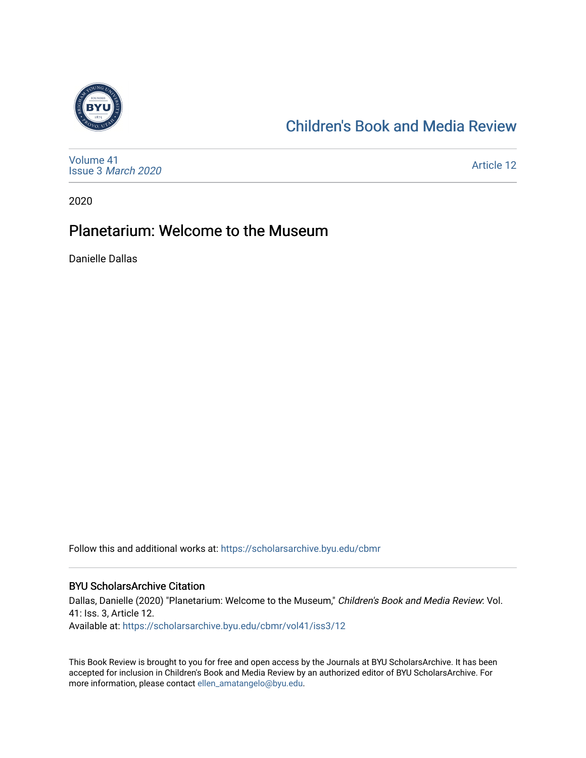

# [Children's Book and Media Review](https://scholarsarchive.byu.edu/cbmr)

[Volume 41](https://scholarsarchive.byu.edu/cbmr/vol41) Issue 3 [March 2020](https://scholarsarchive.byu.edu/cbmr/vol41/iss3)

[Article 12](https://scholarsarchive.byu.edu/cbmr/vol41/iss3/12) 

2020

### Planetarium: Welcome to the Museum

Danielle Dallas

Follow this and additional works at: [https://scholarsarchive.byu.edu/cbmr](https://scholarsarchive.byu.edu/cbmr?utm_source=scholarsarchive.byu.edu%2Fcbmr%2Fvol41%2Fiss3%2F12&utm_medium=PDF&utm_campaign=PDFCoverPages) 

#### BYU ScholarsArchive Citation

Dallas, Danielle (2020) "Planetarium: Welcome to the Museum," Children's Book and Media Review: Vol. 41: Iss. 3, Article 12. Available at: [https://scholarsarchive.byu.edu/cbmr/vol41/iss3/12](https://scholarsarchive.byu.edu/cbmr/vol41/iss3/12?utm_source=scholarsarchive.byu.edu%2Fcbmr%2Fvol41%2Fiss3%2F12&utm_medium=PDF&utm_campaign=PDFCoverPages)

This Book Review is brought to you for free and open access by the Journals at BYU ScholarsArchive. It has been accepted for inclusion in Children's Book and Media Review by an authorized editor of BYU ScholarsArchive. For more information, please contact [ellen\\_amatangelo@byu.edu.](mailto:ellen_amatangelo@byu.edu)